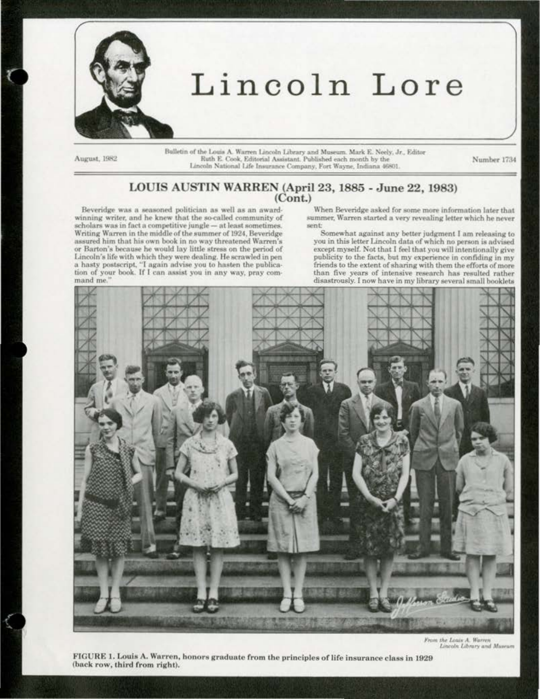

## Lincoln Lore

August, 1982

Bulletin of the Louis A. Warren Lincoln Library and Museum. Mark E. Neely, Jr., Editor Ruth E. Cook, Editorial Assistant. Published each month by the Lincoln National Life Insurance Company, Fort Wayne, Indiana 46801.

Number 1734

## LOUIS AUSTIN WARREN (April 23, 1885 - June 22, 1983)  $(Cont.)$

Beveridge was a seasoned politician as well as an awardwinning writer, and he knew that the so-called community of scholars was in fact a competitive jungle - at least sometimes. Writing Warren in the middle of the summer of 1924, Beveridge assured him that his own book in no way threatened Warren's or Barton's because he would lay little stress on the period of Lincoln's life with which they were dealing. He scrawled in pen a hasty postscript, "I again advise you to hasten the publication of your book. If I can assist you in any way, pray command me.

When Beveridge asked for some more information later that summer, Warren started a very revealing letter which he never sent:

Somewhat against any better judgment I am releasing to you in this letter Lincoln data of which no person is advised except myself. Not that I feel that you will intentionally give publicity to the facts, but my experience in confiding in my friends to the extent of sharing with them the efforts of more than five years of intensive research has resulted rather disastrously. I now have in my library several small booklets



From the Louis A. Warren<br>Lincoln Library and Museum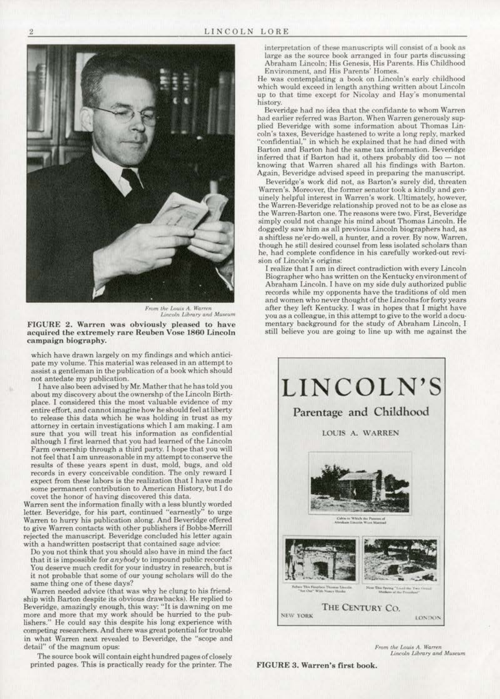

*From the Louis A. Warren*<br>*Lincoln Library and Museum* 

FIGURE 2. Warren was obviously pleased to have acquired the extremely rare Reuben Vose 1860 Lincoln campaign biography.

which have drawn largely on my findings and which anticipate my volume. This material was released in an attempt to assist a gentleman in the publication of a book which should not antedate my publication.

I have also been advised by Mr. Mather that he has told you place. I considered this the most valuable evidence of my entire effort. a nd cannot imagine how he should feel at liberty to release this data which he was holding in trust as my attorney in certain investigations which I am making. I am sure that you will treat his information as confidential although I first learned that you had learned of the Lincoln Farm ownership through a third party. I hope that you will<br>not feel that I am unreasonable in my attempt to conserve the results of these years spent in dust, mold, bugs, and old records in every conceivable condition. The only reward I expect from these labors is the realization that I have made some permanent contribution to American History, but I do covet the honor of having discovered this data.

Warren sent the information finally with a less bluntly worded letter. Beveridge, for his part, continued "earnestly" to urge Warren to hurry his publication along. And Beveridge offered to give Warren contacts with other publishers if Bobbs·Merrill rejected the manuscript. Beveridge concluded his letter again with a handwritten postscript that contained sage advice:

Do you not think that you shou1d also have in mind the fact that it is impossible for *anybody* to impound public records? You deserve much credit for your industry in research, but is it not probable that some of our young scholars will do the same thing one of these days?

Warren needed adviee (that was why he clung to his friend· ship with Barton despite its obvious drawbacks). He replied to Beveridge, amazingly enough, this way: " lt is dawning on me more and more that my work should be hurried to the publishers." He could say this despite his long experience with competing researchers. And there was great potential for trouble in what Warren next revealed to Beveridge, the "scope and detail" of the magnum opus:

The source book will contain eight hundred pages of closely printed pages. This is practically ready for the printer. The interpretation of these manuscripts will consist of a book as large as the source book arranged in four parts discussing Abraham Lincoln; His Genesis. His Parents. His Childhood Environment, and fiis Parents' fiomes.

He was contemplating a book on Lincoln's early childhood which would exceed in length anything written about Lincoln up to that time except for Nicolay and Hay's monumental history.

Beveridge had no idea that the confidante to whom Warren had earlier referred was Barton. When Warren generously supplied Beveridge with some information about Thomas Lincoln's taxes. Beveridge hastened to write a long reply, marked 'confidential." in which he explained that he had dined with Barton and Barton had the same tax information. Beveridge inferred that if Barton had it, others probably did too - not knowing that Warren shared all his findings with Barton. Again, Beveridge advised speed in preparing the manuscript

Beveridge's work did not, as Barton's surely did, threaten Warren's. Moreover, the former senator took a kindly and gen· uinely helpful interest in Warren's work. Ultimately. however, the Warren-Beveridge relationship proved not to be as close as the Warren-Barton one. The reasons were two. First, Beveridge simply could not change his mind about Thomas Lincoln. He doggedly saw him as all previous Lincoln biographers had. as a shiftless ne'er-do-well, a hunter, and a rover. By now, Warren, though he still deaired counsel from less isolated scholars than he, had complete confidence in his carefully worked-out revision of Lincoln's origins:

I realize that I am in direct contradiction with every Lincoln Biographer who has written on the Kentuckyenvironmentof Abraham Lincoln. I have on my side duly authorized public records while my opponents have the traditions of old men and women who never thought of the Lincolns for forty years after they left Kentucky. I was in hopes that I might have mentary background for the study of Abraham Lincoln, I still believe you are going to line up with me against the



*From the Louis A. Warren* Lincoln Library and Museum

FIGURE 3. Warren's first book.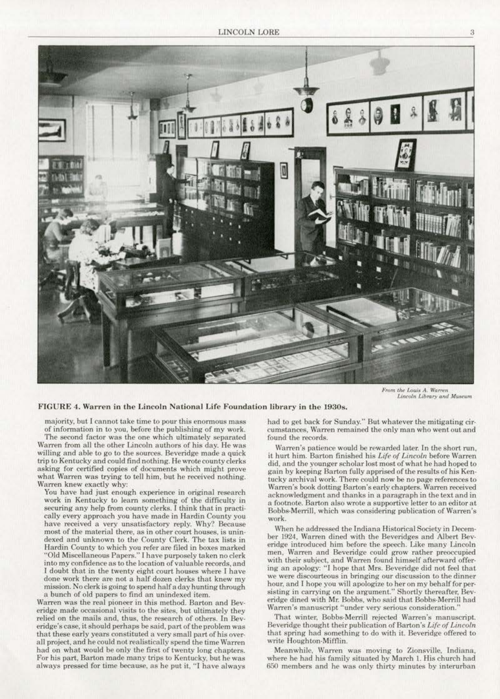

From the Louis A. Warren Lincoln Library and Museum

## FIGURE 4. Warren in the Lincoln National Life Foundation library in the 1930s.

majority, but I cannot take time to pour this enormous mass of information in to you. before the publishing of my work.

The second factor was the one which ultimately separated Warren from all the other Lincoln authors of his day. He was willing and able to go to the sources. Beveridge made a quick trip to Kentucky and could find nothing. He wrote county clerks asking for certified copies of documents which mighl prove what Warren was trying to tell him, but he received nothing. Warren knew exactly why:

You have had just enough experience in original research work in Kentucky to learn something of the difficulty in securing any help from county clerks. I think that in practically every approach you have made in Hardin County you have received a very unsatisfactory reply. Why? Because most of the material there, as in other court houses, is unindexed and unknown to the County Clerk. The tax lists in Hardin County to which you refer are filed in boxes marked ''Old Miscellaneous Papers.''l have purposely taken no clerk into my confidence as to the location of valuable records, and I doubt that in the twenty eight court houses where I have done work there are not a half dozen clerks that knew my mission. No clerk is going to spend half a day hunting through a bunch of old papers to find an unindexed item.

Warren was the real pioneer in this method. Harton and Bev· eridge made occasional visits to the sites, but ultimately they<br>relied on the mails and, thus, the research of others. In Beveridge's case, it should perhaps be said, part of the problem was that these early years constituted a very small part of his overall project, and he could not realistically spend the time Warren had on what would be only the first of twenty long chapters. For his part, Barton made many trips to Kentucky, but he was: always pressed for time because, as he put it, "I have always

had to get back for Sunday." But whatever the mitigating circumstances. Warren remained the only man who went out and found the records.

Warren's patience would be rewarded later. In the short run, it hurt him. Barton finished his Life of Lincoln before Warren did. and the younger scholar lost most of what he had hoped to gain by keeping Barton fully apprised of the results of his Kentucky archival work. There could now be no page references to Warren's book dotting Barton'searly chapters. Warren received acknowledgment and thanks in a paragraph in the text and in a footnote. Barton also wrote a supportive letter to an editor at Bobbs-Merrill, which was considering publication of Warren's work.

When he addressed the Indiana Historical Society in December 1924. Warren dined with the Beveridges and Albert Bev· eridge introduced him before the speech. Like many Lincoln<br>men. Warren and Beveridge could grow rather preoccupied with their subject, and Warren found himself afterward offering an apology: "I hope that Mrs. Beveridge did not feel that we were discourteous in bringing our discussion to the dinner hour, and I hope you will apologize to her on my behalf for per-<br>sisting in carrying on the argument." Shortly thereafter, Beveridge dined with Mr. Bobbs, who said that Bobbs-Merrill had Warren's manuscript ''under very serious consideration."

That winter, Bobbs-Merrill rejected Warren's manuscript. Beveridge thought their publication of Barton's Life of Lincoln that spring had something to do with it. Beveridge offered to write Houghton-Mifflin.

Meanwhile, Warren was moving to Zionsville, Indiana, where he had his family situated by March 1. His church had 6.50 members and he was only thirty minutes by interurban